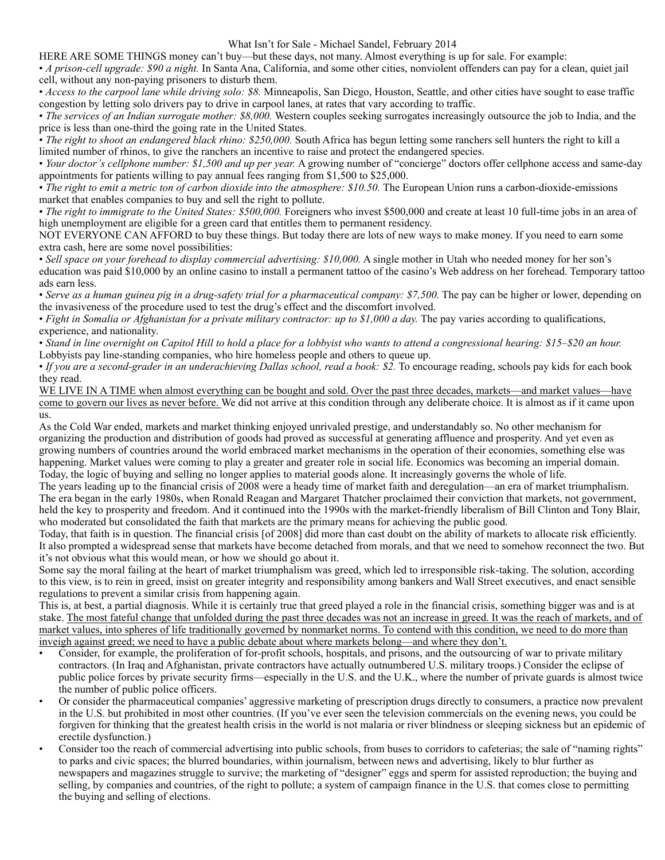What Isn't for Sale - Michael Sandel, February 2014

HERE ARE SOME THINGS money can't buy—but these days, not many. Almost everything is up for sale. For example:

• *A prison-cell upgrade: \$90 a night.* In Santa Ana, California, and some other cities, nonviolent offenders can pay for a clean, quiet jail cell, without any non-paying prisoners to disturb them.

• *Access to the carpool lane while driving solo: \$8.* Minneapolis, San Diego, Houston, Seattle, and other cities have sought to ease traffic congestion by letting solo drivers pay to drive in carpool lanes, at rates that vary according to traffic.

• *The services of an Indian surrogate mother: \$8,000*. Western couples seeking surrogates increasingly outsource the job to India, and the price is less than one-third the going rate in the United States.

• *The right to shoot an endangered black rhino: \$250,000.* South Africa has begun letting some ranchers sell hunters the right to kill a limited number of rhinos, to give the ranchers an incentive to raise and protect the endangered species.

• *Your doctor's cellphone number: \$1,500 and up per year.* A growing number of "concierge" doctors offer cellphone access and same-day appointments for patients willing to pay annual fees ranging from \$1,500 to \$25,000.

• *The right to emit a metric ton of carbon dioxide into the atmosphere: \$10.50*. The European Union runs a carbon-dioxide-emissions market that enables companies to buy and sell the right to pollute.

• *The right to immigrate to the United States: \$500,000*. Foreigners who invest \$500,000 and create at least 10 full-time jobs in an area of high unemployment are eligible for a green card that entitles them to permanent residency.

NOT EVERYONE CAN AFFORD to buy these things. But today there are lots of new ways to make money. If you need to earn some extra cash, here are some novel possibilities:

• *Sell space on your forehead to display commercial advertising: \$10,000.* A single mother in Utah who needed money for her son's education was paid \$10,000 by an online casino to install a permanent tattoo of the casino's Web address on her forehead. Temporary tattoo ads earn less.

• *Serve as a human guinea pig in a drug-safety trial for a pharmaceutical company: \$7,500.* The pay can be higher or lower, depending on the invasiveness of the procedure used to test the drug's effect and the discomfort involved.

• *Fight in Somalia or Afghanistan for a private military contractor: up to \$1,000 a day.* The pay varies according to qualifications, experience, and nationality.

• *Stand in line overnight on Capitol Hill to hold a place for a lobbyist who wants to attend a congressional hearing: \$15–\$20 an hour.*

Lobbyists pay line-standing companies, who hire homeless people and others to queue up.

• *If you are a second-grader in an underachieving Dallas school, read a book: \$2.* To encourage reading, schools pay kids for each book they read.

WE LIVE IN A TIME when almost everything can be bought and sold. Over the past three decades, markets—and market values—have come to govern our lives as never before. We did not arrive at this condition through any deliberate choice. It is almost as if it came upon us.

As the Cold War ended, markets and market thinking enjoyed unrivaled prestige, and understandably so. No other mechanism for organizing the production and distribution of goods had proved as successful at generating affluence and prosperity. And yet even as growing numbers of countries around the world embraced market mechanisms in the operation of their economies, something else was happening. Market values were coming to play a greater and greater role in social life. Economics was becoming an imperial domain. Today, the logic of buying and selling no longer applies to material goods alone. It increasingly governs the whole of life.

The years leading up to the financial crisis of 2008 were a heady time of market faith and deregulation—an era of market triumphalism. The era began in the early 1980s, when Ronald Reagan and Margaret Thatcher proclaimed their conviction that markets, not government, held the key to prosperity and freedom. And it continued into the 1990s with the market-friendly liberalism of Bill Clinton and Tony Blair, who moderated but consolidated the faith that markets are the primary means for achieving the public good.

Today, that faith is in question. The financial crisis [of 2008] did more than cast doubt on the ability of markets to allocate risk efficiently. It also prompted a widespread sense that markets have become detached from morals, and that we need to somehow reconnect the two. But it's not obvious what this would mean, or how we should go about it.

Some say the moral failing at the heart of market triumphalism was greed, which led to irresponsible risk-taking. The solution, according to this view, is to rein in greed, insist on greater integrity and responsibility among bankers and Wall Street executives, and enact sensible regulations to prevent a similar crisis from happening again.

This is, at best, a partial diagnosis. While it is certainly true that greed played a role in the financial crisis, something bigger was and is at stake. The most fateful change that unfolded during the past three decades was not an increase in greed. It was the reach of markets, and of market values, into spheres of life traditionally governed by nonmarket norms. To contend with this condition, we need to do more than inveigh against greed; we need to have a public debate about where markets belong—and where they don't.

- Consider, for example, the proliferation of for-profit schools, hospitals, and prisons, and the outsourcing of war to private military contractors. (In Iraq and Afghanistan, private contractors have actually outnumbered U.S. military troops.) Consider the eclipse of public police forces by private security firms—especially in the U.S. and the U.K., where the number of private guards is almost twice the number of public police officers.
- Or consider the pharmaceutical companies' aggressive marketing of prescription drugs directly to consumers, a practice now prevalent in the U.S. but prohibited in most other countries. (If you've ever seen the television commercials on the evening news, you could be forgiven for thinking that the greatest health crisis in the world is not malaria or river blindness or sleeping sickness but an epidemic of erectile dysfunction.)
- Consider too the reach of commercial advertising into public schools, from buses to corridors to cafeterias; the sale of "naming rights" to parks and civic spaces; the blurred boundaries, within journalism, between news and advertising, likely to blur further as newspapers and magazines struggle to survive; the marketing of "designer" eggs and sperm for assisted reproduction; the buying and selling, by companies and countries, of the right to pollute; a system of campaign finance in the U.S. that comes close to permitting the buying and selling of elections.